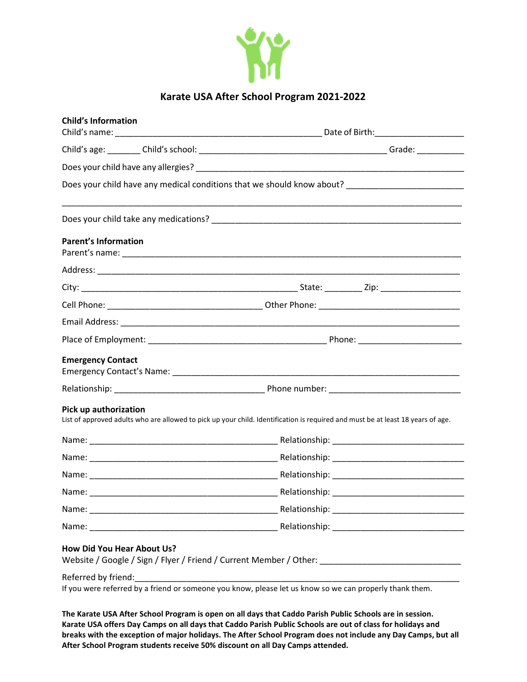

# Karate USA After School Program 2021-2022

| Does your child have any medical conditions that we should know about? ____________________________<br><b>Parent's Information</b>                                                                                                                                  |  |  |
|---------------------------------------------------------------------------------------------------------------------------------------------------------------------------------------------------------------------------------------------------------------------|--|--|
|                                                                                                                                                                                                                                                                     |  |  |
|                                                                                                                                                                                                                                                                     |  |  |
|                                                                                                                                                                                                                                                                     |  |  |
|                                                                                                                                                                                                                                                                     |  |  |
|                                                                                                                                                                                                                                                                     |  |  |
|                                                                                                                                                                                                                                                                     |  |  |
|                                                                                                                                                                                                                                                                     |  |  |
|                                                                                                                                                                                                                                                                     |  |  |
|                                                                                                                                                                                                                                                                     |  |  |
|                                                                                                                                                                                                                                                                     |  |  |
| <b>Emergency Contact</b>                                                                                                                                                                                                                                            |  |  |
|                                                                                                                                                                                                                                                                     |  |  |
| Pick up authorization<br>List of approved adults who are allowed to pick up your child. Identification is required and must be at least 18 years of age.                                                                                                            |  |  |
|                                                                                                                                                                                                                                                                     |  |  |
|                                                                                                                                                                                                                                                                     |  |  |
|                                                                                                                                                                                                                                                                     |  |  |
|                                                                                                                                                                                                                                                                     |  |  |
|                                                                                                                                                                                                                                                                     |  |  |
|                                                                                                                                                                                                                                                                     |  |  |
| How Did You Hear About Us?<br>Website / Google / Sign / Flyer / Friend / Current Member / Other: ________________________________<br>Referred by friend:<br>If you were referred by a friend or someone you know, please let us know so we can properly thank them. |  |  |

The Karate USA After School Program is open on all days that Caddo Parish Public Schools are in session. Karate USA offers Day Camps on all days that Caddo Parish Public Schools are out of class for holidays and breaks with the exception of major holidays. The After School Program does not include any Day Camps, but all After School Program students receive 50% discount on all Day Camps attended.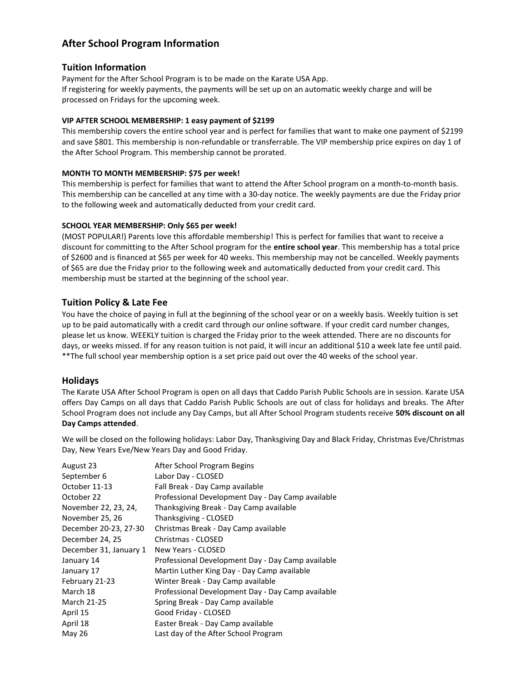# After School Program Information

# Tuition Information

Payment for the After School Program is to be made on the Karate USA App. If registering for weekly payments, the payments will be set up on an automatic weekly charge and will be processed on Fridays for the upcoming week.

### VIP AFTER SCHOOL MEMBERSHIP: 1 easy payment of \$2199

This membership covers the entire school year and is perfect for families that want to make one payment of \$2199 and save \$801. This membership is non-refundable or transferrable. The VIP membership price expires on day 1 of the After School Program. This membership cannot be prorated.

### MONTH TO MONTH MEMBERSHIP: \$75 per week!

This membership is perfect for families that want to attend the After School program on a month-to-month basis. This membership can be cancelled at any time with a 30-day notice. The weekly payments are due the Friday prior to the following week and automatically deducted from your credit card.

### SCHOOL YEAR MEMBERSHIP: Only \$65 per week!

(MOST POPULAR!) Parents love this affordable membership! This is perfect for families that want to receive a discount for committing to the After School program for the entire school year. This membership has a total price of \$2600 and is financed at \$65 per week for 40 weeks. This membership may not be cancelled. Weekly payments of \$65 are due the Friday prior to the following week and automatically deducted from your credit card. This membership must be started at the beginning of the school year.

# Tuition Policy & Late Fee

You have the choice of paying in full at the beginning of the school year or on a weekly basis. Weekly tuition is set up to be paid automatically with a credit card through our online software. If your credit card number changes, please let us know. WEEKLY tuition is charged the Friday prior to the week attended. There are no discounts for days, or weeks missed. If for any reason tuition is not paid, it will incur an additional \$10 a week late fee until paid. \*\*The full school year membership option is a set price paid out over the 40 weeks of the school year.

# Holidays

The Karate USA After School Program is open on all days that Caddo Parish Public Schools are in session. Karate USA offers Day Camps on all days that Caddo Parish Public Schools are out of class for holidays and breaks. The After School Program does not include any Day Camps, but all After School Program students receive 50% discount on all Day Camps attended.

We will be closed on the following holidays: Labor Day, Thanksgiving Day and Black Friday, Christmas Eve/Christmas Day, New Years Eve/New Years Day and Good Friday.

| August 23              | After School Program Begins                       |
|------------------------|---------------------------------------------------|
| September 6            | Labor Day - CLOSED                                |
| October 11-13          | Fall Break - Day Camp available                   |
| October 22             | Professional Development Day - Day Camp available |
| November 22, 23, 24,   | Thanksgiving Break - Day Camp available           |
| November 25, 26        | Thanksgiving - CLOSED                             |
| December 20-23, 27-30  | Christmas Break - Day Camp available              |
| December 24, 25        | Christmas - CLOSED                                |
| December 31, January 1 | New Years - CLOSED                                |
| January 14             | Professional Development Day - Day Camp available |
| January 17             | Martin Luther King Day - Day Camp available       |
| February 21-23         | Winter Break - Day Camp available                 |
| March 18               | Professional Development Day - Day Camp available |
| <b>March 21-25</b>     | Spring Break - Day Camp available                 |
| April 15               | Good Friday - CLOSED                              |
| April 18               | Easter Break - Day Camp available                 |
| May 26                 | Last day of the After School Program              |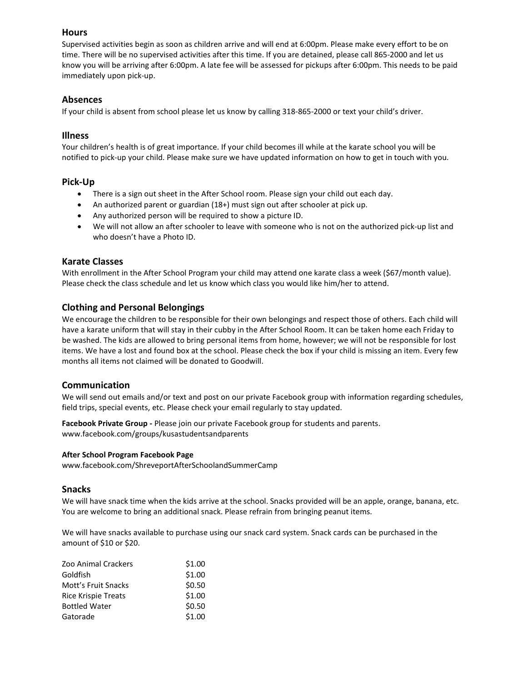### Hours

Supervised activities begin as soon as children arrive and will end at 6:00pm. Please make every effort to be on time. There will be no supervised activities after this time. If you are detained, please call 865-2000 and let us know you will be arriving after 6:00pm. A late fee will be assessed for pickups after 6:00pm. This needs to be paid immediately upon pick-up.

## Absences

If your child is absent from school please let us know by calling 318-865-2000 or text your child's driver.

### Illness

Your children's health is of great importance. If your child becomes ill while at the karate school you will be notified to pick-up your child. Please make sure we have updated information on how to get in touch with you.

#### Pick-Up

- There is a sign out sheet in the After School room. Please sign your child out each day.
- An authorized parent or guardian (18+) must sign out after schooler at pick up.
- Any authorized person will be required to show a picture ID.
- We will not allow an after schooler to leave with someone who is not on the authorized pick-up list and who doesn't have a Photo ID.

### Karate Classes

With enrollment in the After School Program your child may attend one karate class a week (\$67/month value). Please check the class schedule and let us know which class you would like him/her to attend.

# Clothing and Personal Belongings

We encourage the children to be responsible for their own belongings and respect those of others. Each child will have a karate uniform that will stay in their cubby in the After School Room. It can be taken home each Friday to be washed. The kids are allowed to bring personal items from home, however; we will not be responsible for lost items. We have a lost and found box at the school. Please check the box if your child is missing an item. Every few months all items not claimed will be donated to Goodwill.

#### Communication

We will send out emails and/or text and post on our private Facebook group with information regarding schedules, field trips, special events, etc. Please check your email regularly to stay updated.

Facebook Private Group - Please join our private Facebook group for students and parents. www.facebook.com/groups/kusastudentsandparents

#### After School Program Facebook Page

www.facebook.com/ShreveportAfterSchoolandSummerCamp

#### Snacks

We will have snack time when the kids arrive at the school. Snacks provided will be an apple, orange, banana, etc. You are welcome to bring an additional snack. Please refrain from bringing peanut items.

We will have snacks available to purchase using our snack card system. Snack cards can be purchased in the amount of \$10 or \$20.

| Zoo Animal Crackers        | \$1.00 |
|----------------------------|--------|
| Goldfish                   | \$1.00 |
| <b>Mott's Fruit Snacks</b> | \$0.50 |
| <b>Rice Krispie Treats</b> | \$1.00 |
| <b>Bottled Water</b>       | \$0.50 |
| Gatorade                   | \$1.00 |